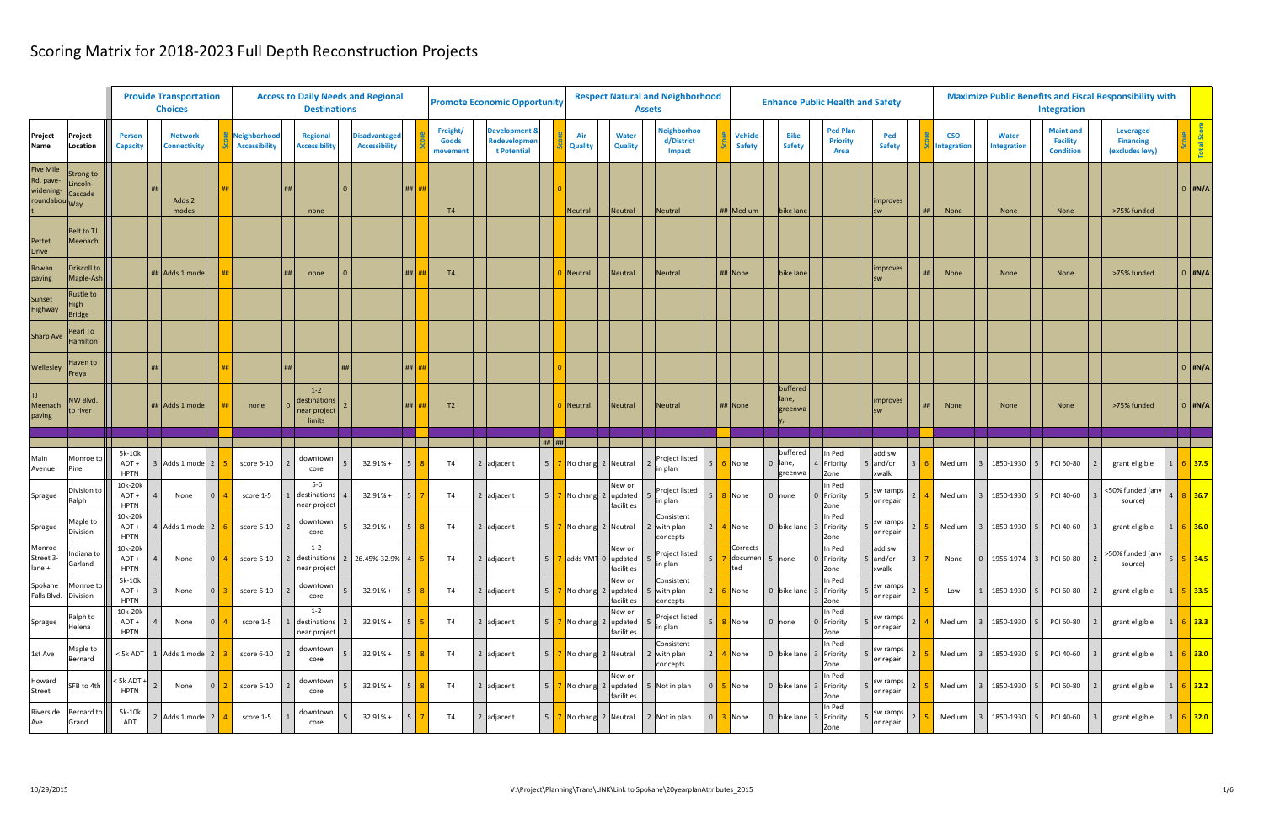|                                                        |                                       |                                   |                | <b>Provide Transportation</b><br><b>Choices</b> |                |                                      | <b>Access to Daily Needs and Regional</b><br><b>Destinations</b> |                                              |                |                                      | <b>Promote Economic Opportunity</b>                     |                 |                       | <b>Assets</b>                                  | <b>Respect Natural and Neighborhood</b>    |                                   |                                | <b>Enhance Public Health and Safety</b>    |                             |                 |                          |                                    | Integration                                             | <b>Maximize Public Benefits and Fiscal Responsibility with</b> |                            |
|--------------------------------------------------------|---------------------------------------|-----------------------------------|----------------|-------------------------------------------------|----------------|--------------------------------------|------------------------------------------------------------------|----------------------------------------------|----------------|--------------------------------------|---------------------------------------------------------|-----------------|-----------------------|------------------------------------------------|--------------------------------------------|-----------------------------------|--------------------------------|--------------------------------------------|-----------------------------|-----------------|--------------------------|------------------------------------|---------------------------------------------------------|----------------------------------------------------------------|----------------------------|
| Project<br><b>Name</b>                                 | <sup>&gt;</sup> roject<br>Location    | <b>Person</b><br><b>Capacity</b>  |                | <b>Network</b><br><b>Connectivity</b>           |                | Neighborhood<br><b>Accessibility</b> | <b>Regional</b><br><b>Accessibility</b>                          | <b>Disadvantaged</b><br><b>Accessibility</b> |                | Freight/<br><b>Goods</b><br>movement | <b>Development &amp;</b><br>Redevelopmer<br>t Potential |                 | Air<br><b>Quality</b> | Water<br><b>Quality</b>                        | Veighborhod<br>d/District<br><b>Impact</b> | <b>Vehicle</b><br><b>Safety</b>   | <b>Bike</b><br><b>Safety</b>   | <b>Ped Plan</b><br><b>Priority</b><br>Area | Ped<br><b>Safety</b>        |                 | <b>CSO</b><br>ntegration | <b>Water</b><br><b>Integration</b> | <b>Maint and</b><br><b>Facility</b><br><b>Condition</b> | <b>Leveraged</b><br><b>Financing</b><br>(excludes levy)        |                            |
| <b>Five Mile</b><br>Rd. pave<br>widening-<br>roundabou | trong to<br>incoln-<br>`ascade<br>Wav |                                   |                | Adds 2<br>modes                                 |                |                                      | none                                                             |                                              | $\#$           | T4                                   |                                                         |                 | <b>Neutral</b>        | Neutral                                        | Neutral                                    | ## Medium                         | bike lane                      |                                            | improves                    |                 | None                     | None                               | None                                                    | >75% funded                                                    | $0$ #N/A                   |
| Pettet<br><b>Drive</b>                                 | <b>Belt to TJ</b><br>Meenach          |                                   |                |                                                 |                |                                      |                                                                  |                                              |                |                                      |                                                         |                 |                       |                                                |                                            |                                   |                                |                                            |                             |                 |                          |                                    |                                                         |                                                                |                            |
| Rowan<br>paving                                        | Driscoll to<br>Maple-Ash              |                                   |                | ## Adds 1 mode                                  |                |                                      | none                                                             |                                              | #              | T <sub>4</sub>                       |                                                         |                 | Neutral               | Neutral                                        | <b>Neutral</b>                             | ## None                           | bike lane                      |                                            | improves                    |                 | None                     | None                               | None                                                    | >75% funded                                                    | $0$ #N/A                   |
| Sunset<br>Highway                                      | ustle to<br>ligh<br><b>Bridge</b>     |                                   |                |                                                 |                |                                      |                                                                  |                                              |                |                                      |                                                         |                 |                       |                                                |                                            |                                   |                                |                                            |                             |                 |                          |                                    |                                                         |                                                                |                            |
| <b>Sharp Ave</b>                                       | 'earl To<br>Iamilton                  |                                   |                |                                                 |                |                                      |                                                                  |                                              |                |                                      |                                                         |                 |                       |                                                |                                            |                                   |                                |                                            |                             |                 |                          |                                    |                                                         |                                                                |                            |
| Wellesley                                              | Haven to<br>reya                      |                                   |                |                                                 |                |                                      |                                                                  |                                              | $\#$ # $\vert$ |                                      |                                                         |                 |                       |                                                |                                            |                                   |                                |                                            |                             |                 |                          |                                    |                                                         |                                                                | 0 #N/A                     |
| TJ<br>Meenach<br>paving                                | NW Blvd.<br>o river                   |                                   |                | Adds 1 mode                                     | ##             | none                                 | $1 - 2$<br>destinations<br>near project<br>limits                |                                              | #              | T <sub>2</sub>                       |                                                         |                 | Neutral               | Neutral                                        | Neutral                                    | ## None                           | buffered<br>lane,<br>greenwa   |                                            | improves                    |                 | None                     | None                               | None                                                    | >75% funded                                                    | $0$ #N/A                   |
|                                                        |                                       |                                   |                |                                                 |                |                                      |                                                                  |                                              |                |                                      |                                                         | $  $ ## $  $ ## |                       |                                                |                                            |                                   |                                |                                            |                             |                 |                          |                                    |                                                         |                                                                |                            |
| Main<br>Avenue                                         | Monroe to<br>'ine                     | 5k-10k<br>ADT+<br><b>HPTN</b>     |                | 3 Adds 1 mode 2                                 |                | score 6-10                           | downtown<br>core                                                 | $32.91% +$                                   | 5 <sup>1</sup> | <b>T4</b>                            | $2$ adjacent                                            | 5 <sup>5</sup>  |                       | No chang 2 Neutral                             | Project listed<br>5<br>in plan             | None                              | buffered<br>0 lane,<br>greenwa | In Ped<br>4 Priority<br>Zone               | add sw<br>5 and/or<br>xwalk |                 | Medium<br>l 3            | 1850-1930 5                        | PCI 60-80                                               | grant eligible                                                 | $5$ 37.5                   |
| Sprague                                                | Division to<br>alph?                  | 10k-20k<br>$ADT +$<br><b>HPTN</b> |                | None                                            | $\Omega$       | score 1-5                            | $5-6$<br>destination<br>near project                             | $32.91% +$                                   | 5 <sup>1</sup> | T <sub>4</sub>                       | $2$ adjacent                                            |                 |                       | New or<br>No chang 2 updated<br>facilities     | Project listed<br>5<br>in plan             | None                              | 0 none                         | In Ped<br>0 Priority<br>Zone               | sw ramps<br>or repair       |                 | Medium                   | 1850-1930                          | PCI 40-60                                               | $\leq$ 50% funded (any $\begin{array}{ c c }$<br>source)       | $8 \vert 36.7$             |
| Sprague                                                | Maple to<br>Division                  | 10k-20k<br>ADT+<br><b>HPTN</b>    |                | 4 Adds 1 mode 2                                 |                | score 6-10                           | downtown<br>core                                                 | $32.91% +$                                   | 5 <sup>1</sup> | T <sub>4</sub>                       | $2$ adjacent                                            |                 | No chang 2 Neutral    |                                                | Consistent<br>with plan<br>2<br>concepts   | 4 None                            |                                | In Ped<br>0 bike lane 3 Priority<br>Zone   | sw ramps<br>or repair       |                 | Medium                   | 1850-1930                          | PCI 40-60                                               | grant eligible                                                 | $5$ 36.0                   |
| Monroe<br>Street 3-<br>lane +                          | ndiana to<br>Garland                  | 10k-20k<br>$ADT +$<br><b>HPTN</b> | $\overline{4}$ | None                                            | $\overline{0}$ | score 6-10                           | $1 - 2$<br>near project                                          | destinations 2 26.45%-32.9% 4                |                | <b>T4</b>                            | 2 adjacent                                              | 5 <sup>1</sup>  |                       | New or<br>7 adds VM1 0 updated 5<br>facilities | Project listed<br>$\vert$ 5<br>in plan     | Corrects<br>documen 5 none<br>ted |                                | In Ped<br>0 Priority<br>Zone               | add sw<br>5 and/or<br>xwalk | $\vert 3 \vert$ | None<br>l 0              | 1956-1974 3                        | PCI 60-80                                               | >50% funded (any   5   5   34.5<br>source)                     |                            |
| Spokane<br>Falls Blvd. Division                        | Monroe to                             | 5k-10k<br>ADT+<br><b>HPTN</b>     |                | None                                            |                | score 6-10                           | downtown<br>core                                                 | $32.91% +$                                   | 5 <sup>1</sup> | <b>T4</b>                            | 2 adjacent                                              | I 5 I           |                       | New or<br>No chang 2 updated<br>facilities     | Consistent<br>with plan<br>concepts        | $2 \mid 6 \mid$ None              |                                | In Ped<br>0 bike lane 3 Priority<br>Zone   | sw ramps<br>or repair       |                 | Low                      | 1850-1930 5                        | PCI 60-80                                               | grant eligible                                                 | $5 \,   \, 33.5 \,  $      |
| Sprague                                                | Ralph to<br>Helena                    | 10k-20k<br>$ADT +$<br><b>HPTN</b> |                | None                                            | $\overline{0}$ | score 1-5                            | $1 - 2$<br>destinations<br>near project                          | $32.91% +$                                   | 5 <sup>1</sup> | <b>T4</b>                            | 2 adjacent                                              | I 5 I           |                       | New or<br>7 No chang 2 updated<br>facilities   | Project listed<br>$5^{\circ}$<br>in plan   | 8 None                            | $0$ none                       | In Ped<br>0 Priority<br>Zone               | sw ramps<br>or repair       |                 | Medium<br>l 3            | 1850-1930   5                      | PCI 60-80                                               | grant eligible                                                 | $6$ 33.3                   |
| 1st Ave                                                | Maple to<br>Bernard                   | < 5k ADT                          |                | Adds 1 mode 2                                   |                | score 6-10                           | downtown<br>core                                                 | $32.91% +$                                   | 5 <sup>1</sup> | <b>T4</b>                            | 2 adjacent                                              | 5 <sup>1</sup>  |                       | 7 No chang 2 Neutral                           | Consistent<br>2 with plan<br>concepts      | $2 \mid 4 \mid$ None              |                                | In Ped<br>0 bike lane 3 Priority<br>Zone   | sw ramps<br>or repair       |                 | Medium<br>l 3            | 1850-1930 5                        | PCI 40-60                                               | grant eligible                                                 | $6$ 33.0                   |
| Howard<br>Street                                       | SFB to 4th                            | $5k$ ADT +<br><b>HPTN</b>         |                | None                                            | $\overline{0}$ | score 6-10                           | downtown<br>core                                                 | $32.91% +$                                   | 5 <sup>1</sup> | <b>T4</b>                            | 2 adjacent                                              |                 |                       | New or<br>facilities                           | $\overline{0}$<br>5 Not in plan            | 5 None                            |                                | In Ped<br>0 bike lane 3 Priority<br>Zone   | sw ramps<br>or repair       |                 | Medium<br>l 3            | 1850-1930   5                      | PCI 60-80                                               | grant eligible                                                 | $6 \overline{\smash)32.2}$ |
| Riverside<br>Ave                                       | Bernard to<br>Grand                   | 5k-10k<br>ADT                     |                | 2 Adds 1 mode 2                                 |                | score 1-5                            | downtown<br>core                                                 | $32.91% +$                                   | 5 <sup>1</sup> | <b>T4</b>                            | 2 adjacent                                              | I 5 I           |                       | 7 No chang 2 Neutral 2 Not in plan             | $\overline{0}$                             | 3 None                            |                                | In Ped<br>0 bike lane 3 Priority<br>Zone   | sw ramps<br>or repair       |                 | Medium<br>l 3            | 1850-1930 5                        | PCI 40-60                                               | grant eligible                                                 | $1 \t6 \t32.0$             |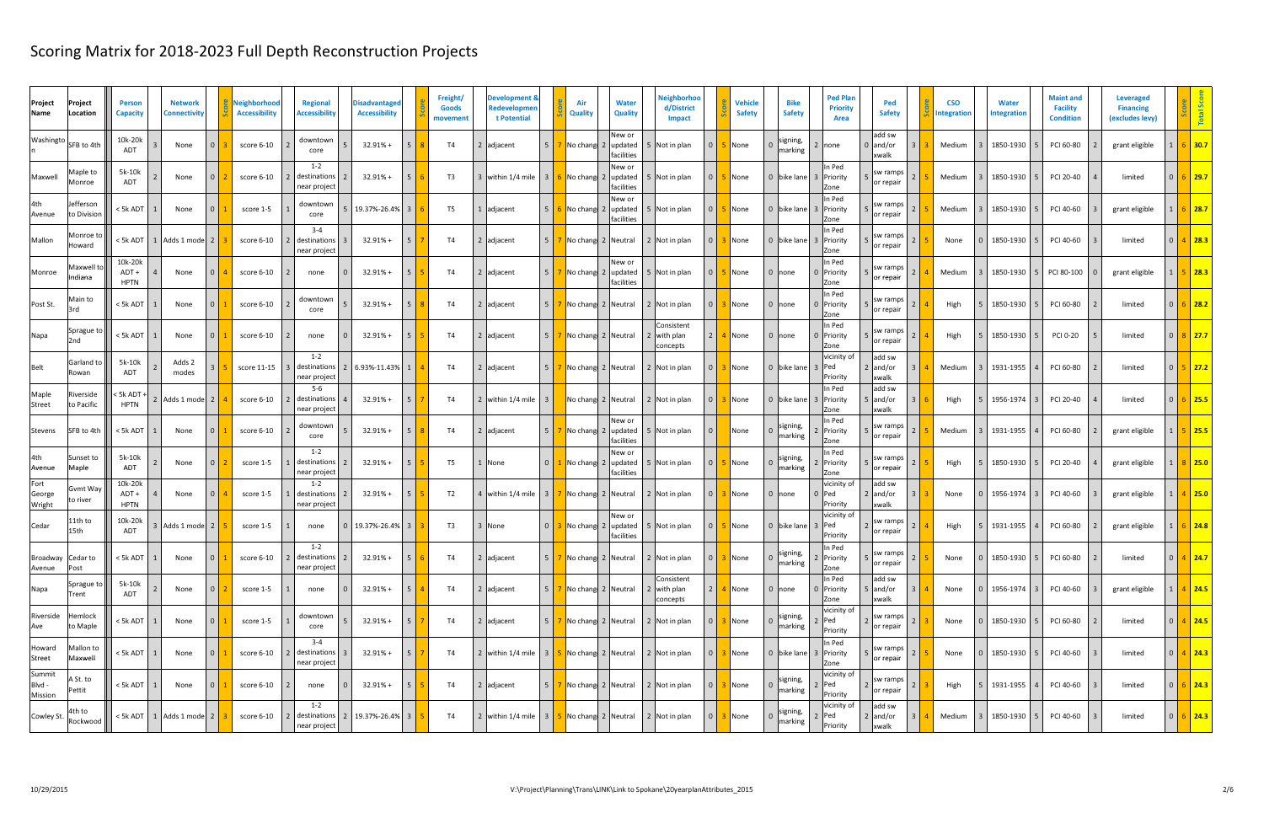| Project<br>Name             | Project<br>Location      | <b>Person</b><br><b>Capacity</b> | <b>Network</b><br>Connectivity   |          | Neighborhood<br><b>Accessibility</b> | <b>Regional</b><br><b>Accessibility</b>   | <b>Disadvantaged</b><br><b>Accessibility</b> | Freight/<br><b>Goods</b><br>movement | <b>Development &amp;</b><br>Redevelopmen<br>t Potential | Air<br><b>Quality</b>              | <b>Water</b><br><b>Quality</b>                               | Neighborhoo<br>d/District<br><b>Impact</b> |                | <b>Vehicle</b><br><b>Safety</b> | <b>Bike</b><br><b>Safety</b> | <b>Ped Plan</b><br><b>Priority</b><br>Area | Ped<br><b>Safety</b>               | <b>CSO</b><br><b>Integration</b> | <b>Water</b><br><b>Integration</b> | <b>Maint and</b><br><b>Facility</b><br><b>Condition</b> | Leveraged<br><b>Financing</b><br>(excludes levy) |                |                |
|-----------------------------|--------------------------|----------------------------------|----------------------------------|----------|--------------------------------------|-------------------------------------------|----------------------------------------------|--------------------------------------|---------------------------------------------------------|------------------------------------|--------------------------------------------------------------|--------------------------------------------|----------------|---------------------------------|------------------------------|--------------------------------------------|------------------------------------|----------------------------------|------------------------------------|---------------------------------------------------------|--------------------------------------------------|----------------|----------------|
| Washingto                   | SFB to 4th               | 10k-20k<br><b>ADT</b>            | None                             | $\Omega$ | score 6-10                           | downtown<br>core                          | $32.91% +$<br>5 <sup>1</sup>                 | T4                                   | 2 adjacent                                              |                                    | New or<br>$5 \mid 7 \mid$ No chang 2   updated<br>facilitie: | Not in plan                                | $\overline{0}$ | None                            | signing,<br>narking          | 2 none                                     | add sw<br>0 and/or<br><b>xwalk</b> | Medium                           | 1850-1930                          | PCI 60-80                                               | grant eligible                                   |                | $5$ 30.7       |
| Maxwell                     | Maple to<br>Monroe       | 5k-10k<br><b>ADT</b>             | None                             | $\Omega$ | score 6-10                           | $1 - 2$<br>destinations<br>near project   | 5 <sup>5</sup><br>$32.91% +$                 | T <sub>3</sub>                       | 3 within 1/4 mile                                       | 3 <sup>1</sup>                     | New or<br>6 No chang 2 Jupdated<br>facilities                | Not in plan                                | $\overline{0}$ | None                            | 0 bike lane                  | In Ped<br>3 Priority<br>Zone               | sw ramps<br>or repair              | Medium                           | 1850-1930                          | PCI 20-40                                               | limited                                          |                | $6$ 29.7       |
| 4th<br>Avenue               | Jefferson<br>to Division | $<$ 5k ADT                       | None                             | $\Omega$ | score 1-5                            | downtown<br>core                          | 5 19.37%-26.4% 3                             | T <sub>5</sub>                       | 1 adjacent                                              | $5 \mid 6 \mid$ No chang 2 updated | New or<br>facilities                                         | Not in plan                                | $\Omega$       | None                            | 0 bike lane                  | In Ped<br>3 Priority<br>Zone               | sw ramps<br>or repair              | Medium                           | 1850-1930                          | PCI 40-60                                               | grant eligible                                   |                | $6$ 28.7       |
| Mallon                      | Monroe †<br>Howard       | < 5k ADT                         | 1 Adds 1 mode 2                  |          | score 6-10                           | $3 - 4$<br>destinations<br>near project   | $32.91% +$<br>-5                             | <b>T4</b>                            | 2 adjacent                                              | 5 7 No chang 2 Neutral             |                                                              | 2 Not in plan                              | $\Omega$       | None                            | 0 bike lane                  | In Ped<br>3 Priority<br>Zone               | sw ramps<br>or repair              | None                             | 1850-1930                          | PCI 40-60                                               | limited                                          |                | 4 28.3         |
| Monroe                      | Maxwell 1<br>Indiana     | 10k-20k<br>ADT+<br><b>HPTN</b>   | None                             | $\Omega$ | score 6-10                           | none                                      | 5 <sup>5</sup><br>$32.91% +$                 | T4                                   | 2 adjacent                                              | $5 \mid 7 \mid$ No chang 2 updated | New or<br>facilities                                         | Not in plan                                | $\Omega$       | None                            | 0 none                       | In Ped<br>0 Priority<br>Zone               | sw ramps<br>or repair              | Medium                           | 1850-1930                          | PCI 80-100                                              | grant eligible                                   |                | 28.3           |
| Post St.                    | Main to<br>3rd           | < 5k ADT                         | None                             | $\Omega$ | score 6-10                           | downtown<br>core                          | 5 <sup>5</sup><br>$32.91% +$                 | <b>T4</b>                            | 2 adjacent                                              | 5 7 No chang 2 Neutral             |                                                              | 2 Not in plan                              | $\Omega$       | None                            | $0$ none                     | In Ped<br>0 Priority<br>Zone               | sw ramps<br>or repair              | High                             | 1850-1930                          | PCI 60-80                                               | limited                                          |                | $6$   28.2     |
| Napa                        | Sprague to<br>2nd        | < 5k ADT                         | None                             | $\Omega$ | score 6-10                           | none                                      | $32.91% +$<br>-5                             | T4                                   | 2 adjacent                                              | 5 7 No chang 2 Neutral             |                                                              | Consistent<br>with plan<br>concepts        |                | None                            | 0 none                       | In Ped<br>0 Priority<br>Zone               | sw ramps<br>or repair              | High                             | 1850-1930                          | PCI 0-20                                                | limited                                          |                | $8$ 27.7       |
| <b>Belt</b>                 | Garland to<br>Rowan      | 5k-10k<br><b>ADT</b>             | Adds 2<br>modes                  |          | score 11-15                          | $1 - 2$<br>destinations<br>near project   | 2 6.93%-11.43%<br>$\vert$ 1                  | T4                                   | 2 adjacent                                              | 5 7 No chang 2 Neutral             |                                                              | 2 Not in plan                              |                | None                            | 0 bike lane                  | vicinity of<br>3 Ped<br>Priority           | add sw<br>$2$ and/or<br>xwalk      | Medium                           | 1931-1955                          | PCI 60-80                                               | limited                                          | 0 <sup>1</sup> | $5 \mid 27.2$  |
| Maple<br><b>Street</b>      | Riverside<br>to Pacific  | < 5k ADT<br><b>HPTN</b>          | 2 Adds 1 mode 2                  |          | score 6-10                           | $5-6$<br>destinations<br>near project     | 5 <sup>1</sup><br>$32.91% +$                 | T4                                   | 2 within 1/4 mile                                       |                                    | No chang 2 Neutral                                           | 2 Not in plan                              | $\Omega$       | None                            | 0 bike lane                  | In Ped<br>3 Priority<br>Zone               | add sw<br>$5$ and/or<br>xwalk      | High                             | 1956-1974                          | PCI 20-40                                               | limited                                          |                | 0   6   25.5   |
| Stevens                     | SFB to 4th               | < 5k ADT                         | None                             | $\Omega$ | score 6-10                           | downtown<br>core                          | 5 <sup>5</sup><br>$32.91% +$                 | T4                                   | 2 adjacent                                              | $5$ 7 No chang 2 updated           | New or<br>facilities                                         | Not in plan                                |                | None                            | signing,<br>narking          | In Ped<br>2 Priority<br>Zone               | sw ramps<br>or repair              | Medium                           | 1931-1955                          | PCI 60-80                                               | grant eligible                                   |                | 5 25.5         |
| 4th<br>Avenue               | Sunset to<br>Maple       | 5k-10k<br>ADT                    | None                             | $\Omega$ | score 1-5                            | $1 - 2$<br>destinations<br>near project   | 5 <sup>5</sup><br>$32.91% +$                 | T <sub>5</sub>                       | 1 None                                                  |                                    | New or<br>$0 \mid 1 \mid$ No chang 2 updated<br>facilities   | 5 Not in plan                              | $\Omega$       | None                            | signing,<br>narking          | In Ped<br>2 Priority<br>Zone               | sw ramps<br>or repair              | High                             | 1850-1930                          | PCI 20-40                                               | grant eligible                                   |                | $8$ 25.0       |
| Fort<br>George<br>Wright    | Gvmt Way<br>to river     | 10k-20k<br>ADT +<br><b>HPTN</b>  | None                             | $\Omega$ | score 1-5                            | $1 - 2$<br>destinations<br>near project   | $32.91% +$<br>-5                             | T <sub>2</sub>                       | 4   within 1/4 mile                                     | 3 7 No chang 2 Neutral             |                                                              | 2 Not in plan                              | $\Omega$       | None                            | $0$ none                     | vicinity oʻ<br>0 Ped<br>Priority           | add sw<br>$2$ and/or<br>xwalk      | None                             | 1956-1974                          | PCI 40-60                                               | grant eligible                                   |                | 4 25.0         |
| Cedar                       | 11th to<br>15th          | 10k-20k<br><b>ADT</b>            | Adds 1 mode 2                    |          | score 1-5                            | none                                      | 19.37%-26.4% 3                               | T3                                   | 3 None                                                  | $0$ 3 No chang 2 updated           | New or<br>facilities                                         | 5 Not in plan                              | $\overline{0}$ | None                            | 0 bike lane 3 Ped            | vicinity of<br>Priority                    | sw ramps<br>or repair              | High                             | 1931-1955                          | PCI 60-80                                               | grant eligible                                   |                | 24.8           |
| Broadway Cedar to<br>Avenue | Post                     | < 5k ADT                         | None                             | $\Omega$ | score 6-10                           | $1 - 2$<br>destinations 2<br>near project | 5 <sup>5</sup><br>$32.91% +$                 | <b>T4</b>                            | $2$ adjacent                                            | 5 7 No chang 2 Neutral             |                                                              | 2 Not in plan                              | $\Omega$       | None                            | signing,<br>marking          | In Ped<br>2 Priority<br>Zone               | sw ramps<br>or repair              | None                             | 1850-1930                          | PCI 60-80                                               | limited                                          |                | $4$ 24.7       |
| Napa                        | Sprague to<br>Trent      | 5k-10k<br>ADT                    | None                             | $\Omega$ | score 1-5                            | none                                      | 5 <sup>5</sup><br>$32.91% +$                 | <b>T4</b>                            | 2 adjacent                                              | 5 7 No chang 2 Neutral             |                                                              | Consistent<br>with plan<br>concepts        |                | 4 None                          | 0 none                       | In Ped<br>0 Priority<br>Zone               | add sw<br>$5$ and/or<br>xwalk      | None                             | 1956-1974                          | PCI 40-60                                               | grant eligible                                   |                | $4$   24.5     |
| Riverside<br>Ave            | Hemlock<br>to Maple      | $<$ 5k ADT                       | None                             | $\Omega$ | score 1-5                            | downtown<br>core                          | $32.91% +$<br>5 <sup>5</sup>                 | <b>T4</b>                            | 2 adjacent                                              | 5 7 No chang 2 Neutral             |                                                              | 2 Not in plan                              | $\Omega$       | None                            | signing,<br>marking          | vicinity of<br>Ped!<br>Priority            | sw ramps<br>or repair              | None                             | 1850-1930                          | PCI 60-80                                               | limited                                          |                | 0   4   24.5   |
| Howard<br>Street            | Mallon to<br>Maxwell     | $<$ 5k ADT                       | None                             | $\Omega$ | score 6-10                           | $3 - 4$<br>destinations<br>near project   | 5 <sup>1</sup><br>$32.91% +$                 | <b>T4</b>                            | 2 within 1/4 mile                                       | 3 5 No chang 2 Neutral             |                                                              | 2 Not in plan                              | $\Omega$       | None                            | 0 bike lane                  | In Ped<br>3 Priority<br>Zone               | sw ramps<br>or repair              | None                             | 1850-1930                          | PCI 40-60                                               | limited                                          |                | 0   4   24.3   |
| Summit<br>Blvd -<br>Mission | A St. to<br>Pettit       | $<$ 5k ADT                       | None                             | $\Omega$ | score 6-10                           | none                                      | 5 <sup>5</sup><br>$32.91% +$                 | <b>T4</b>                            | 2 adjacent                                              | 5 7 No chang 2 Neutral             |                                                              | 2 Not in plan                              | $\overline{0}$ | None                            | signing,<br>marking          | vicinity of<br>!  Ped<br>Priority          | sw ramps<br>or repair              | High                             | 1931-1955                          | PCI 40-60                                               | limited                                          |                | $0 \ 6 \ 24.3$ |
| Cowley St.                  | 4th to<br>Rockwood       |                                  | $< 5k$ ADT   1   Adds 1 mode   2 |          | score 6-10                           | $1 - 2$<br>2 destinations<br>near project | 2 19.37%-26.4% 3                             | <b>T4</b>                            | 2 within 1/4 mile 3 5 No chang 2 Neutral                |                                    |                                                              | 2 Not in plan                              | $\overline{0}$ | None                            | signing,<br>marking          | vicinity of<br>2 Ped<br>Priority           | add sw<br>$2$ and/or<br>xwalk      | Medium                           | 1850-1930 5                        | PCI 40-60                                               | limited                                          |                | 0   6   24.3   |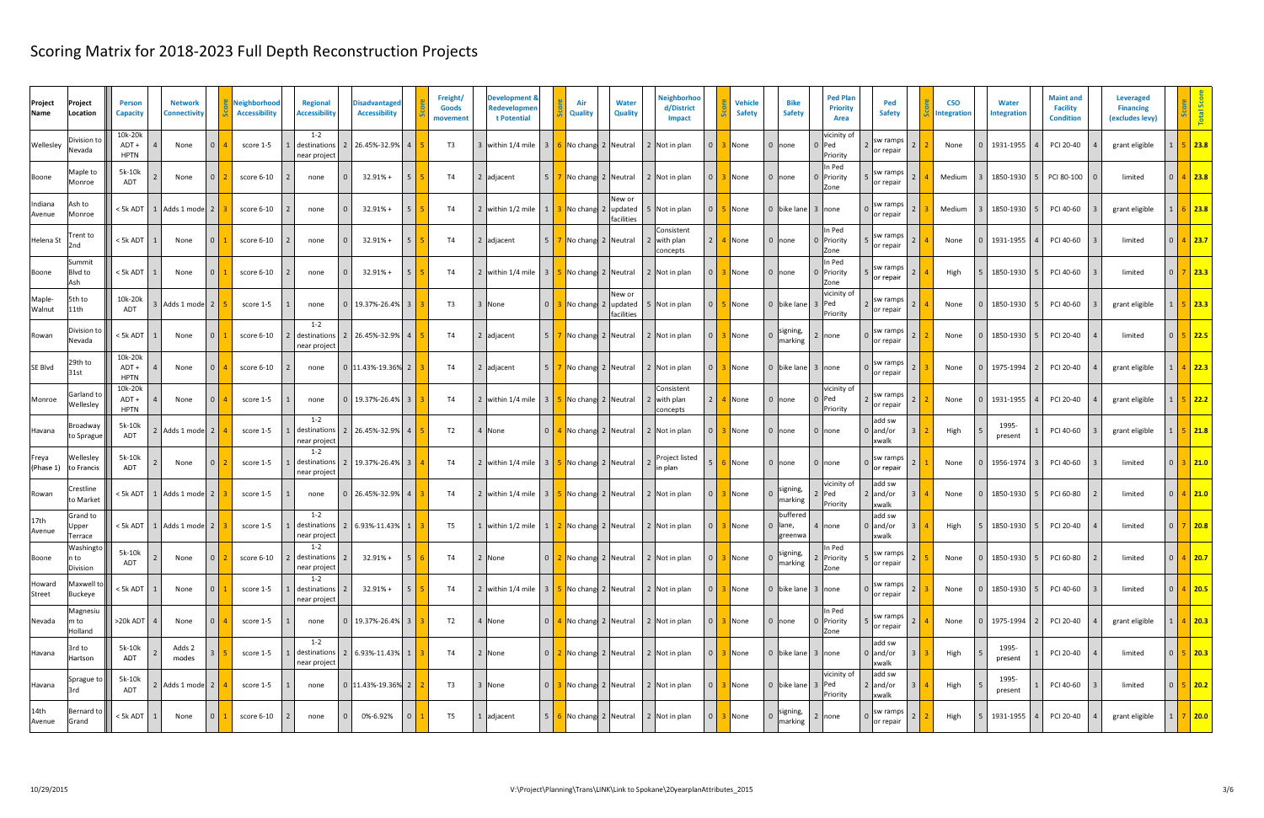| Project<br>Project<br>Name<br>Location           | <b>Person</b><br><b>Capacity</b> | <b>Network</b><br>Connectivity |                | Neighborhood<br><b>Accessibility</b> | <b>Regional</b><br><b>Accessibility</b> | <b>Disadvantaged</b><br><b>Accessibility</b> | Freight/<br><b>Goods</b><br>movement | Development &<br>Redevelopmer<br>t Potential                                               |                | Air<br><b>Quality</b>        | <b>Water</b><br>Quality     | <b>Neighborhoo</b><br>d/District<br><b>Impact</b> |                | <b>Vehicle</b><br><b>Safety</b> | <b>Bike</b><br><b>Safety</b>             | <b>Ped Plan</b><br><b>Priority</b><br>Area | Ped<br><b>Safety</b>          | <b>CSO</b><br>ntegration | <b>Water</b><br><b>Integration</b> | <b>Maint and</b><br><b>Facility</b><br><b>Condition</b> | Leveraged<br><b>Financing</b><br>(excludes levy) |                |                |
|--------------------------------------------------|----------------------------------|--------------------------------|----------------|--------------------------------------|-----------------------------------------|----------------------------------------------|--------------------------------------|--------------------------------------------------------------------------------------------|----------------|------------------------------|-----------------------------|---------------------------------------------------|----------------|---------------------------------|------------------------------------------|--------------------------------------------|-------------------------------|--------------------------|------------------------------------|---------------------------------------------------------|--------------------------------------------------|----------------|----------------|
| Division to<br>Wellesley<br>Nevada               | 10k-20k<br>ADT+<br><b>HPTN</b>   | None                           |                | score 1-5                            | $1 - 2$<br>destinations<br>near project | 2 26.45%-32.9%                               | T3                                   | 3 within 1/4 mile                                                                          | 3 <sup>1</sup> | 6 No chang 2 Neutral         |                             | 2 Not in plan                                     | $\Omega$       | None                            | $0$ none                                 | vicinity of<br>0 Ped<br>Priority           | sw ramps<br>or repair         | None                     | 1931-1955                          | PCI 20-40                                               | grant eligible                                   |                | $5$   23.8     |
| Maple to<br>Boone<br>Monroe                      | 5k-10k<br>ADT                    | None                           |                | score 6-10                           | none                                    | $32.91% +$                                   | <b>T4</b>                            | 2 adjacent                                                                                 | 5 <sup>1</sup> | No chang 2 Neutral           |                             | 2 Not in plan                                     | $\Omega$       | None                            | 0 Inone                                  | In Ped<br>0 Priority<br>Zone               | sw ramps<br>or repair         | Medium                   | 1850-1930                          | PCI 80-100                                              | limited                                          |                | $4$   23.8     |
| Indiana<br>Ash to<br>Monroe<br>Avenue            |                                  | <5k ADT   1   Adds 1 mode   2  |                | score 6-10                           | none                                    | $32.91% +$                                   | T4                                   | 2 within 1/2 mile                                                                          |                | 1 3 No chang 2 updated       | New or<br><b>facilities</b> | Not in plan                                       | $\overline{0}$ | None                            | 0 bike lane 3 none                       |                                            | sw ramps<br>or repair         | Medium                   | 1850-1930 5                        | PCI 40-60                                               | grant eligible                                   |                | $6$ 23.8       |
| rent to<br>Helena St<br>2nd                      | $<$ 5k ADT                       | None                           |                | score 6-10                           | none                                    | $32.91% +$<br>-5                             | <b>T4</b>                            | 2 adjacent                                                                                 | 5 <sup>1</sup> | 7 No chang 2 Neutral         |                             | Consistent<br>with plan<br>concepts               | $\overline{2}$ | None                            | 0 none                                   | In Ped<br>0 Priority<br>Zone               | sw ramps<br>or repair         | None                     | 1931-1955                          | PCI 40-60                                               | limited                                          |                | $4$   23.7     |
| Summit<br>Blvd to<br>Boone<br>Ash                | < 5k ADT                         | None                           |                | score 6-10                           | none                                    | $32.91% +$<br>5                              | <b>T4</b>                            | 2 within 1/4 mile                                                                          |                |                              |                             | 3 5 No chang 2 Neutral 2 Not in plan              |                | None                            | 0 none                                   | In Ped<br>0 Priority<br>Zone               | sw ramps<br>or repair         | High                     | 1850-1930                          | PCI 40-60                                               | limited                                          |                | $\sqrt{23.3}$  |
| Maple-<br>5th to<br>11th<br>Walnut               | 10k-20k<br><b>ADT</b>            | Adds 1 mode 2                  |                | score 1-5                            | none                                    | 0 19.37%-26.4%<br>$\overline{\mathbf{3}}$    | T <sub>3</sub>                       | 3 None                                                                                     |                | <b>3</b> No chang 2 updated  | New or<br>facilities        | 5 Not in plan                                     | $\overline{0}$ | None                            | 0 bike lane                              | vicinity of<br>3 Ped<br>Priority           | sw ramps<br>or repair         | None                     | 1850-1930                          | PCI 40-60                                               | grant eligible                                   |                | 5 23.3         |
| Division tc<br>Rowan<br>Nevada                   | < 5k ADT                         | None                           |                | score 6-10                           | $1 - 2$<br>destination<br>near project  | 2 26.45%-32.9%<br>$\overline{4}$             | T4                                   | 2 adjacent                                                                                 | 5 <sup>1</sup> | 7 No chang 2 Neutral         |                             | 2 Not in plan                                     | $\Omega$       | None                            | signing,<br>marking                      | 2 none                                     | sw ramps<br>or repair         | None                     | 1850-1930                          | PCI 20-40                                               | limited                                          | 0 <sup>1</sup> | $5 \vert 22.5$ |
| 29th to<br>SE Blvd<br>31st                       | 10k-20k<br>ADT+<br><b>HPTN</b>   | None                           |                | score 6-10                           | none                                    | 0 11.43%-19.36% 2                            | T4                                   | 2 adjacent                                                                                 |                | 5   7   No chang 2   Neutral |                             | 2 Not in plan                                     | - ೧            | None                            | 0 bike lane 3 none                       |                                            | sw ramps<br>or repair         | None                     | 1975-1994                          | PCI 20-40                                               | grant eligible                                   |                | 4 22.3         |
| Garland to<br>Monroe<br>Wellesley                | 10k-20k<br>ADT+<br><b>HPTN</b>   | None                           |                | score 1-5                            | none                                    | $0$   19.37%-26.4%   3                       | T4                                   | 2 within 1/4 mile                                                                          |                | 3 5 No chang 2 Neutral       |                             | Consistent<br>with plan<br>concepts               | 2 <sup>1</sup> | None                            | $0$ none                                 | vicinity of<br>0 Ped<br>Priority           | sw ramps<br>or repair         | None                     | 1931-1955                          | PCI 20-40                                               | grant eligible                                   |                | $5$ 22.2       |
| Broadway<br>Havana<br>to Sprague                 | 5k-10k<br><b>ADT</b>             | Adds 1 mode   2                |                | score 1-5                            | $1 - 2$<br>destinations<br>near project | 2 26.45%-32.9%                               | T <sub>2</sub>                       | 4 None                                                                                     |                | 0 4 No chang 2 Neutral       |                             | 2 Not in plan                                     |                | None                            | 0 none                                   | $0$ none                                   | add sw<br>$0$ and/or<br>xwalk | High                     | 1995-<br>present                   | PCI 40-60                                               | grant eligible                                   |                | $5$ 21.8       |
| Wellesley<br>Freya<br>(Phase 1)<br>to Francis    | 5k-10k<br>ADT                    | None                           |                | score 1-5                            | $1 - 2$<br>destinations<br>near project | 2   19.37%-26.4%   3                         | T4                                   |                                                                                            |                |                              |                             | Project listed<br>in plan                         | -5             | None                            | 0 none                                   | $0$ none                                   | sw ramps<br>or repair         | None                     | 1956-1974                          | PCI 40-60                                               | limited                                          |                | $3$ 21.0       |
| Crestline<br>Rowan<br>to Market                  |                                  | < 5k ADT   1   Adds 1 mode   2 |                | score 1-5                            | none                                    | 0 26.45%-32.9%                               | <b>T4</b>                            | 2 within 1/4 mile                                                                          |                | 3 5 No chang 2 Neutral       |                             | 2 Not in plan                                     |                | None                            | signing,<br>marking                      | vicinity of<br>! Ped<br>Priority           | add sw<br>$2$ and/or<br>xwalk | None                     | 1850-1930                          | PCI 60-80                                               | limited                                          |                | $4$ 21.0       |
| Grand to<br>17th<br>Upper<br>Avenue<br>Terrace   |                                  | <5k ADT 1   Adds 1 mode 2      |                | score 1-5                            | $1 - 2$<br>destinations<br>near project | 2 6.93%-11.43%                               | T <sub>5</sub>                       | 1 within $1/2$ mile $\begin{pmatrix} 1 & 2 \end{pmatrix}$ No chang 2 Neutral 2 Not in plan |                |                              |                             |                                                   | $\Omega$       | None                            | buffered<br>lane,<br>$\Omega$<br>greenwa | 4 none                                     | add sw<br>0 and/or<br>xwalk   | High                     | 1850-1930                          | PCI 20-40                                               | limited                                          |                | $7$ 20.8       |
| Washingto<br>Boone<br>n to<br>Division           | 5k-10k<br>ADT                    | None                           |                | score 6-10                           | $1 - 2$<br>destinations<br>near project | 5 <sup>5</sup><br>$32.91% +$<br>$\vert$ 2    | <b>T4</b>                            | 2 None                                                                                     |                |                              |                             | $0$ 2 No chang 2 Neutral 2 Not in plan            | $\overline{0}$ | None                            | signing,<br>marking                      | In Ped<br>2 Priority<br>Zone               | sw ramps<br>or repair         | None                     | 1850-1930 5                        | PCI 60-80                                               | limited                                          |                | $4$ 20.7       |
| Howard<br>Maxwell to<br><b>Street</b><br>Buckeye | $< 5k$ ADT $\vert$ 1             | None                           |                | score 1-5                            | $1 - 2$<br>destinations<br>near project | 5 <sup>5</sup><br>$32.91% +$                 | <b>T4</b>                            | 2 within 1/4 mile                                                                          |                | 3 5 No chang 2 Neutral       |                             | 2 Not in plan                                     | $\Omega$       | None                            | 0 bike lane 3 none                       |                                            | sw ramps<br>or repair         | None                     | 1850-1930                          | PCI 40-60                                               | limited                                          |                | 0   4   20.5   |
| Magnesiu<br>m to<br>Nevada<br>Holland            | $>20k$ ADT 4                     | None                           |                | score 1-5                            | none                                    | 0 19.37%-26.4% 3                             | T2                                   | 4 None                                                                                     |                | 0 4 No chang 2 Neutral       |                             | 2 Not in plan                                     | $\Omega$       | None                            | $\vert 0 \vert$ none                     | In Ped<br>0 Priority<br>Zone               | sw ramps<br>or repair         | None                     | 1975-1994                          | PCI 20-40                                               | grant eligible                                   |                | $4$ 20.3       |
| 3rd to<br>Havana<br>Hartson                      | 5k-10k<br>ADT                    | Adds 2<br>modes                |                | score 1-5                            | $1 - 2$<br>destinations<br>near project | 2 6.93%-11.43% 1                             | <b>T4</b>                            | 2 None                                                                                     |                | 0 2 No chang 2 Neutral       |                             | 2 Not in plan                                     | $\overline{0}$ | None                            | 0 bike lane 3 none                       |                                            | add sw<br>$0$ and/or<br>xwalk | High                     | 1995-<br>present                   | PCI 20-40                                               | limited                                          |                | $0$ 5 20.3     |
| Sprague to<br>Havana<br>3rd                      | 5k-10k<br>ADT                    | 2 Adds 1 mode 2                |                | score 1-5                            | none                                    | 0 11.43%-19.36% 2                            | T3                                   | 3 None                                                                                     |                | 0 3 No chang 2 Neutral       |                             | 2 Not in plan                                     | $\overline{0}$ | None                            | 0 bike lane 3 Ped                        | vicinity of<br>Priority                    | add sw<br>$2$ and/or<br>xwalk | High                     | 1995-<br>present                   | PCI 40-60                                               | limited                                          |                |                |
| 14th<br>Bernard to<br>Avenue<br>Grand            | $< 5k$ ADT $\vert$ 1             | None                           | $\overline{0}$ | score 6-10                           | none                                    | 0%-6.92%<br>$\overline{0}$                   | T <sub>5</sub>                       | 1 adjacent                                                                                 |                | 5 6 No chang 2 Neutral       |                             | 2 Not in plan                                     | $\overline{0}$ | None                            | signing,<br>marking                      | 2 none                                     | sw ramps<br>or repair         | High                     | 1931-1955                          | PCI 20-40                                               | grant eligible                                   |                | 1 7 20.0       |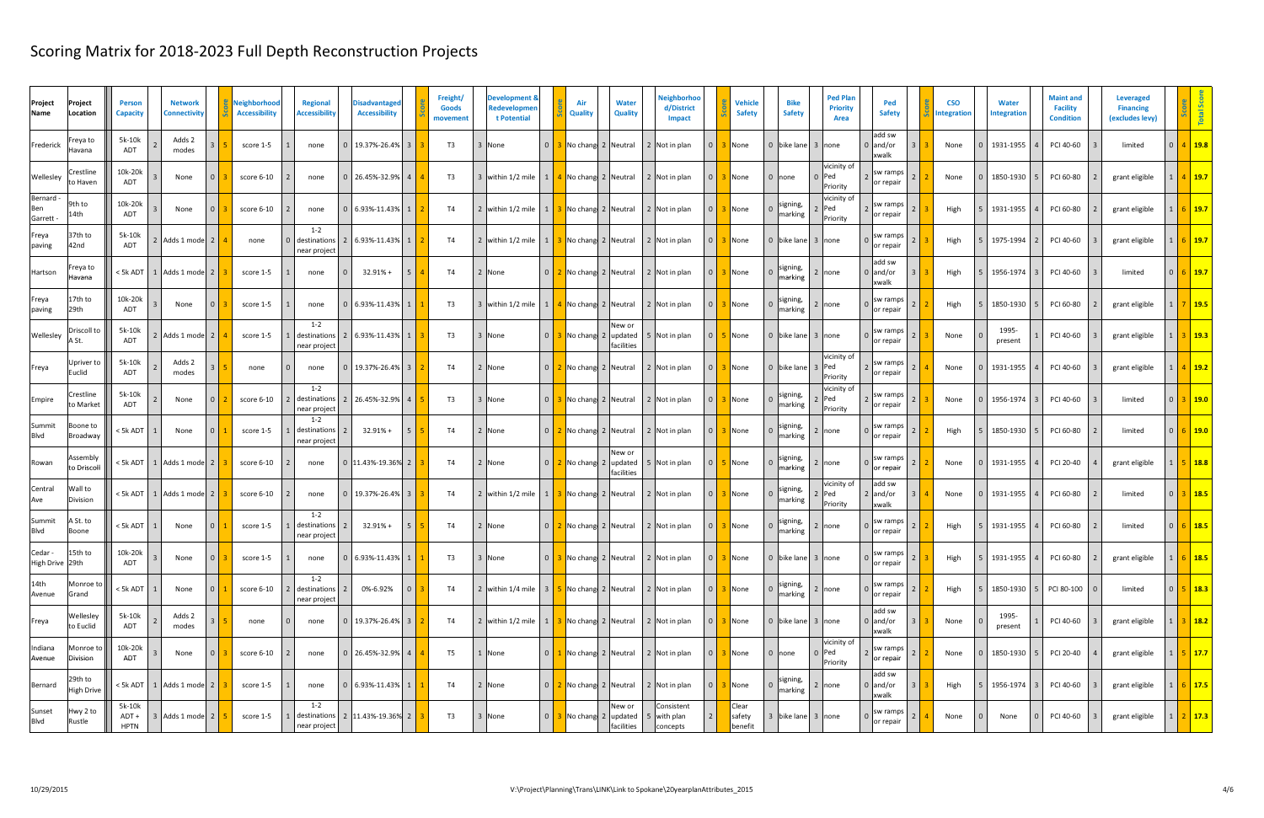| Project<br>Project<br>Name<br>Location          | <b>Person</b><br><b>Capacity</b> | <b>Network</b><br>Connectivity   | Neighborhood<br><b>Accessibility</b> | Regional<br><b>Accessibility</b>        | <b>Disadvantaged</b><br><b>Accessibility</b> | Freight/<br><b>Goods</b><br>movement | Development &<br>Redevelopmer<br>t Potential |                | Air<br><b>Quality</b>            |                      | <b>Water</b><br>Quality | <b>Neighborhoo</b><br>d/District<br><b>Impact</b> |                | <b>Vehicle</b><br><b>Safety</b> | <b>Bike</b><br><b>Safety</b> | <b>Ped Plan</b><br><b>Priority</b><br>Area | Ped<br><b>Safety</b>          | <b>CSO</b><br>ntegration | <b>Water</b><br><b>Integration</b> | <b>Maint and</b><br><b>Facility</b><br><b>Condition</b> | Leveraged<br><b>Financing</b><br>(excludes levy) |               |                      |
|-------------------------------------------------|----------------------------------|----------------------------------|--------------------------------------|-----------------------------------------|----------------------------------------------|--------------------------------------|----------------------------------------------|----------------|----------------------------------|----------------------|-------------------------|---------------------------------------------------|----------------|---------------------------------|------------------------------|--------------------------------------------|-------------------------------|--------------------------|------------------------------------|---------------------------------------------------------|--------------------------------------------------|---------------|----------------------|
| Freya to<br>Frederick<br>Havana                 | 5k-10k<br>ADT                    | Adds 2<br>modes                  | score 1-5                            | none                                    | 0 19.37%-26.4%                               | T3                                   | 3 None                                       |                | 0 3 No chang 2 Neutral           |                      |                         | 2 Not in plan                                     | $\overline{0}$ | None                            | 0 bike lane 3 none           |                                            | add sw<br>$0$ and/or<br>xwalk | None                     | 1931-1955                          | PCI 40-60                                               | limited                                          |               | $4$ 19.8             |
| Crestline<br>Wellesley<br>to Haven              | 10k-20k<br>ADT                   | None                             | score 6-10                           | none                                    | 26.45%-32.9%<br>$\overline{4}$               | T3                                   | 3 within 1/2 mile                            |                |                                  |                      |                         | 1 4 No chang 2 Neutral 2 Not in plan              | $\Omega$       | None                            | 0 none                       | vicinity of<br>0 Ped<br>Priority           | sw ramps<br>or repair         | None                     | 1850-1930                          | PCI 60-80                                               | grant eligible                                   |               | 4 19.7               |
| Bernard -<br>9th to<br>Ben<br>14th<br>Garrett - | 10k-20k<br>ADT                   | None                             | score 6-10                           | none                                    | $0$ 6.93%-11.43% 1                           | T4                                   |                                              |                |                                  |                      |                         |                                                   | $\Omega$       | None                            | signing,<br>marking          | vicinity of<br>Ped<br>Priority             | sw ramps<br>or repair         | High                     | 1931-1955                          | PCI 60-80                                               | grant eligible                                   |               | $6$   19.7           |
| 37th to<br>Freya<br>42nd<br>paving              | 5k-10k<br><b>ADT</b>             | 2 Adds 1 mode 2                  | none                                 | $1 - 2$<br>destinations<br>near project | 2 6.93%-11.43%                               | <b>T4</b>                            | 2 within 1/2 mile                            | $1 \mid$       |                                  |                      |                         | No chang 2 Neutral 2 Not in plan                  | $\Omega$       | None                            | 0 bike lane 3 none           |                                            | sw ramps<br>or repair         | High                     | 1975-1994                          | PCI 40-60                                               | grant eligible                                   |               | $5$   19.7           |
| <sup>:</sup> reya to<br>Hartson<br>Havana       | < 5k ADT                         | 1 Adds 1 mode 2                  | score 1-5                            | none                                    | $32.91% +$<br>5 <sup>5</sup>                 | <b>T4</b>                            | 2 None                                       |                |                                  |                      |                         | 0 2 No chang 2 Neutral 2 Not in plan              | $\Omega$       | None                            | signing,<br>narking          | 2 none                                     | add sw<br>$0$ and/or<br>xwalk | High                     | 1956-1974                          | PCI 40-60                                               | limited                                          |               | $6$   19.7           |
| 17th to<br>Freya<br>29th<br>paving              | 10k-20k<br>ADT                   | None                             | score 1-5                            | none                                    | 0 6.93%-11.43%                               | T <sub>3</sub>                       | 3 within 1/2 mile                            |                |                                  |                      |                         | 1 4 No chang 2 Neutral 2 Not in plan              | $\Omega$       | None                            | signing,<br>narking          | 2  none                                    | sw ramps<br>or repair         | High                     | 1850-1930                          | PCI 60-80                                               | grant eligible                                   |               | 19.5                 |
| Driscoll to<br>Wellesley<br>A St.               | 5k-10k<br>ADT                    | Adds 1 mode 2                    | score 1-5                            | $1 - 2$<br>destinations<br>near project | 2 6.93%-11.43%                               | T3                                   | 3 None                                       | 0 <sup>1</sup> | No chang 2 updated               | New or<br>facilities |                         | Not in plan                                       | $\Omega$       | None                            | 0 bike lane 3 none           |                                            | sw ramps<br>or repair         | None                     | 1995-<br>present                   | PCI 40-60                                               | grant eligible                                   |               | 3   19.3             |
| Upriver to<br>Freya<br>Euclid                   | 5k-10k<br><b>ADT</b>             | Adds 2<br>modes                  | none                                 | none                                    | 19.37%-26.4%<br>l 3                          | T4                                   | 2 None                                       |                | 0 2 No chang 2 Neutral           |                      |                         | 2 Not in plan                                     | $\Omega$       | None                            | 0 bike lane                  | vicinity of<br>3 Ped<br>Priority           | sw ramps<br>or repair         | None                     | 1931-1955                          | PCI 40-60                                               | grant eligible                                   |               | 4   19.2             |
| Crestline<br>Empire<br>to Market                | 5k-10k<br>ADT                    | None<br>$\Omega$                 | score 6-10                           | $1 - 2$<br>destinations<br>near project | 2 26.45%-32.9%                               | T3                                   | 3 None                                       |                | 0 3 No chang 2 Neutral           |                      |                         | 2 Not in plan                                     | $\Omega$       | None                            | signing,<br>marking          | vicinity of<br>Ped<br>Priority             | sw ramps<br>or repair         | None                     | 1956-1974                          | PCI 40-60                                               | limited                                          | $\cap$ $\Box$ | $3$ 19.0             |
| Summit<br>Boone to<br><b>Blvd</b><br>Broadway   | < 5k ADT                         | None                             | score 1-5                            | $1 - 2$<br>destinations<br>near project | $32.91% +$                                   | T4                                   | 2 None                                       |                | 0 2 No chang 2 Neutral           |                      |                         | 2 Not in plan                                     | $\Omega$       | None                            | signing,<br>narking          | 2 Inone                                    | sw ramps<br>or repair         | High                     | 1850-1930                          | PCI 60-80                                               | limited                                          |               | $6$ 19.0             |
| Assembly<br>Rowan<br>to Driscoll                |                                  | <5k ADT   1   Adds 1 mode   2    | score 6-10                           | none                                    | 0 11.43%-19.36% 2                            | T4                                   | 2 None                                       |                | $0$   2   No chang   2   updated | New or<br>facilities |                         | 5 Not in plan                                     | $\Omega$       | None                            | signing,<br>narking          | 2 none                                     | sw ramps<br>or repair         | None                     | 1931-1955                          | PCI 20-40                                               | grant eligible                                   |               | 5 18.8               |
| Central<br>Wall to<br>Division<br>Ave           |                                  | <5k ADT   1   Adds 1 mode   2    | score 6-10                           | none                                    | 19.37%-26.4% 3                               | <b>T4</b>                            | 2 within $1/2$ mile                          |                | 1 3 No chang 2 Neutral           |                      |                         | 2 Not in plan                                     |                | None                            | signing,<br>marking          | vicinity of<br>$\textsf{Ped}$<br>Priority  | add sw<br>2 $and/or$<br>xwalk | None                     | 1931-1955                          | PCI 60-80                                               | limited                                          |               | 3   18.5             |
| A St. to<br>Summit<br><b>Blvd</b><br>Boone      | < 5k ADT                         | None                             | score 1-5                            | $1 - 2$<br>destinations<br>near project | $32.91% +$<br>$\overline{2}$                 | <b>T4</b>                            | 2 None                                       |                |                                  |                      |                         | 0 2 No chang 2 Neutral 2 Not in plan              | $\Omega$       | None                            | signing,<br>narking          | 2 none                                     | sw ramps<br>or repair         | High                     | 1931-1955                          | PCI 60-80                                               | limited                                          |               | $6$   18.5           |
| Cedar -<br>15th to<br>High Drive 29th           | 10k-20k<br>ADT                   | None                             | score 1-5                            | none                                    | $0$ 6.93%-11.43% 1                           | T3                                   | 3 None                                       |                |                                  |                      |                         | $0$ 3 No chang 2 Neutral 2 Not in plan            | $\overline{0}$ | None                            | 0 bike lane 3 none           |                                            | sw ramps<br>or repair         | High                     | 1931-1955 4                        | PCI 60-80                                               | grant eligible                                   |               | $6$ 18.5             |
| 14th<br>Monroe to<br>Avenue<br>Grand            | $< 5k$ ADT $\vert$ 1             | None                             | score 6-10                           | $1 - 2$<br>destinations<br>near project | 0%-6.92%<br>$\overline{0}$                   | <b>T4</b>                            | 2 within 1/4 mile                            |                | 3 5 No chang 2 Neutral           |                      |                         | 2 Not in plan                                     | $\Omega$       | 3 None                          | signing,<br>marking          | 2 none                                     | sw ramps<br>or repair         | High                     | 1850-1930                          | 5 PCI 80-100                                            | limited                                          |               | $0$ 5 18.3           |
| Wellesley<br>Freya<br>to Euclid                 | 5k-10k<br>ADT                    | Adds 2<br>modes                  | none                                 | none                                    | 0 19.37%-26.4% 3                             | <b>T4</b>                            | 2 within 1/2 mile                            |                |                                  |                      |                         | 1 3 No chang 2 Neutral 2 Not in plan              | $\Omega$       | None                            | 0 bike lane 3 none           |                                            | add sw<br>$0$ and/or<br>xwalk | None                     | 1995-<br>present                   | PCI 40-60                                               | grant eligible                                   |               | $3$ 18.2             |
| Monroe to<br>Indiana<br>Division<br>Avenue      | 10k-20k<br>ADT                   | None                             | score 6-10                           | none                                    | 0 26.45%-32.9% 4                             | T <sub>5</sub>                       | 1 None                                       |                | 0 1 No chang 2 Neutral           |                      |                         | 2 Not in plan                                     | $\overline{0}$ | None                            | $\vert 0 \vert$ none         | vicinity of<br>$0$  Ped<br>Priority        | sw ramps<br>or repair         | None                     | 1850-1930                          | PCI 20-40                                               | grant eligible                                   |               | $5 \vert 17.7$       |
| 29th to<br>Bernard<br><b>High Drive</b>         |                                  | $< 5k$ ADT   1   Adds 1 mode   2 | score 1-5                            | none                                    | $0$ 6.93%-11.43% 1                           | <b>T4</b>                            | 2 None                                       |                | 0 2 No chang 2 Neutral           |                      |                         | 2 Not in plan                                     | $\overline{0}$ | None                            | signing,<br>marking          | 2 none                                     | add sw<br>$0$ and/or<br>xwalk | High                     | $1956-1974$ 3                      | PCI 40-60                                               | grant eligible                                   |               | $6 \vert 17.5$       |
| Hwy 2 to<br>Sunset<br><b>Blvd</b><br>Rustle     | 5k-10k<br>ADT +<br><b>HPTN</b>   | 3 Adds 1 mode 2                  | score 1-5                            | $1 - 2$<br>near project                 | destinations   2   11.43%-19.36% 2           | T3                                   | 3 None                                       |                |                                  | New or<br>facilities |                         | Consistent<br>with plan<br>concepts               |                | Clear<br>safety<br>benefit      | 3 bike lane 3 none           |                                            | sw ramps<br>or repair         | None                     | None                               | PCI 40-60                                               | grant eligible                                   |               | $1 \mid 2 \mid 17.3$ |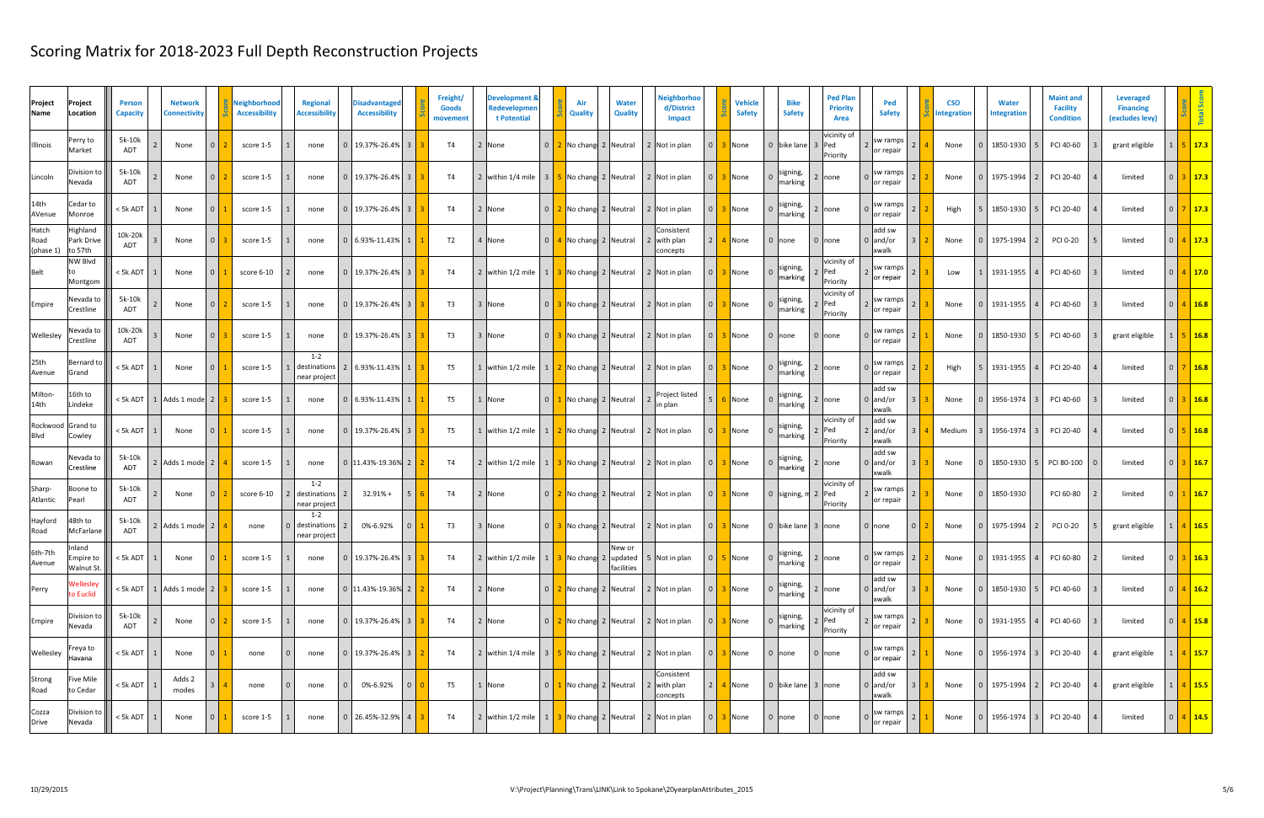| Project<br>Name                  | Project<br>Location               | <b>Person</b><br><b>Capacity</b> | <b>Network</b><br><b>Connectivity</b> |          | Neighborhood<br><b>Accessibility</b> | <b>Regional</b><br><b>Accessibility</b>                     | <b>Disadvantager</b><br><b>Accessibility</b> |                         | Freight/<br><b>Goods</b><br>movement | <b>Development &amp;</b><br>Redevelopmer<br>t Potential                      |                | Air<br>Quality              | <b>Water</b><br><b>Quality</b> | Neighborhoo<br>d/District<br><b>Impact</b>       |                      | <b>Vehicle</b><br><b>Safety</b> | <b>Bike</b><br><b>Safety</b> | <b>Ped Plan</b><br><b>Priority</b><br>Area | Ped<br><b>Safety</b>            | <b>CSO</b><br><b>Integration</b> | <b>Water</b><br><b>Integration</b> | <b>Maint and</b><br><b>Facility</b><br><b>Condition</b> | Leveraged<br><b>Financing</b><br>(excludes levy) |                |                        |
|----------------------------------|-----------------------------------|----------------------------------|---------------------------------------|----------|--------------------------------------|-------------------------------------------------------------|----------------------------------------------|-------------------------|--------------------------------------|------------------------------------------------------------------------------|----------------|-----------------------------|--------------------------------|--------------------------------------------------|----------------------|---------------------------------|------------------------------|--------------------------------------------|---------------------------------|----------------------------------|------------------------------------|---------------------------------------------------------|--------------------------------------------------|----------------|------------------------|
| Illinois                         | Perry to<br>Market                | 5k-10k<br><b>ADT</b>             | None                                  |          | score 1-5                            | none                                                        | 0 19.37%-26.4%                               |                         | T4                                   | 2 None                                                                       |                | 0 2 No chang 2 Neutral      |                                | 2 Not in plan                                    | $\overline{0}$       | None                            | 0 bike lane                  | vicinity of<br>3 Ped<br>Priority           | sw ramps<br>or repair           | None                             | 1850-1930                          | PCI 40-60                                               | grant eligible                                   |                | $5$ 17.3               |
| Lincoln                          | Division to<br>Nevada             | 5k-10k<br>ADT                    | None                                  | <b>0</b> | score 1-5                            | none                                                        | 0 19.37%-26.4%                               | $\overline{\mathbf{3}}$ | T4                                   |                                                                              |                | <b>5</b> No chang 2 Neutral |                                | 2 Not in plan                                    | $\overline{0}$       | None                            | signing,<br>marking          | 2 none                                     | sw ramps<br>or repair           | None                             | 1975-1994                          | PCI 20-40                                               | limited                                          |                | 3   17.3               |
| 14th<br>AVenue                   | Cedar to<br>Monroe                | $<$ 5k ADT                       | None                                  |          | score 1-5                            | none                                                        | 0 19.37%-26.4%                               | l 3                     | T4                                   | 2 None                                                                       |                |                             |                                | 0 2 No chang 2 Neutral 2 Not in plan             | $\overline{0}$       | None                            | signing,<br>marking          | ! none                                     | sw ramps<br>or repair           | High                             | 1850-1930 5                        | PCI 20-40                                               | limited                                          |                | $7 \vert 17.3 \vert$   |
| Hatch<br>Road<br>(phase 1)       | Highland<br>Park Drive<br>to 57th | 10k-20k<br><b>ADT</b>            | None                                  |          | score 1-5                            | none                                                        | 0 6.93%-11.43%                               |                         | T <sub>2</sub>                       | 4 None                                                                       |                | 0 4 No chang 2 Neutral      |                                | Consistent<br>2 with plan<br>concepts            | $\overline{2}$       | None                            | $0$ none                     | $0$ none                                   | add sw<br>$0$ and/or<br>xwalk   | None                             | 1975-1994                          | <b>PCI 0-20</b>                                         | limited                                          | 0 <sup>1</sup> | $4 \mid 17.3$          |
| Belt                             | <b>NW Blvd</b><br>to<br>Montgom   | < 5k ADT                         | None                                  |          | score 6-10                           | none                                                        | 0 19.37%-26.4%                               |                         | <b>T4</b>                            | 2 within $1/2$ mile   1   3   No chang   2   Neutral   2   Not in plan       |                |                             |                                |                                                  | $\Omega$             | None                            | signing,<br>marking          | vicinity of<br>2 Ped<br>Priority           | sw ramps<br>or repair           | Low                              | 1931-1955                          | PCI 40-60                                               | limited                                          |                | 4 17.0                 |
| Empire                           | Nevada to<br>Crestline            | 5k-10k<br><b>ADT</b>             | None                                  |          | score 1-5                            | none                                                        | 0 19.37%-26.4%                               |                         | T3                                   | 3 None                                                                       |                |                             |                                | 0 3 No chang 2 Neutral 2 Not in plan             | $\overline{0}$       | None                            | signing,<br>narking          | vicinity of<br>! Ped<br>Priority           | sw ramps<br>or repair           | None                             | 1931-1955                          | PCI 40-60                                               | limited                                          |                | $4 \mid 16.8$          |
| Wellesley                        | Nevada to<br>Crestline            | 10k-20k<br>ADT                   | None                                  |          | score 1-5                            | none                                                        | 0 19.37%-26.4%                               |                         | T3                                   | 3 None                                                                       |                |                             |                                | 0 3 No chang 2 Neutral 2 Not in plan             | $\overline{0}$       | None                            | 0 none                       | 0 none                                     | sw ramps<br>or repair           | None                             | 1850-1930                          | PCI 40-60                                               | grant eligible                                   |                | 5 16.8                 |
| 25th<br>Avenue                   | Bernard to<br>Grand               | $<$ 5k ADT                       | None                                  |          | score 1-5                            | $1 - 2$<br>destination:<br>near project                     | 2 6.93%-11.43%                               |                         | T <sub>5</sub>                       | 1   within 1/2 mile                                                          |                |                             |                                | 1   2   No chang   2   Neutral   2   Not in plan | $\overline{0}$       | None                            | signing,<br>marking          | 2 none                                     | sw ramps<br>or repair           | High                             | 1931-1955                          | PCI 20-40                                               | limited                                          | 0 <sup>1</sup> | 7 16.8                 |
| Milton-<br>14th                  | 16th to<br>Lindeke                |                                  | <5k ADT   1   Adds 1 mode   2         |          | score 1-5                            | none                                                        | $0$ 6.93%-11.43% 1                           |                         | T <sub>5</sub>                       | 1 None                                                                       | 0 <sup>1</sup> | No chang 2 Neutral          |                                | Project listed<br>in plan                        | 5                    | Mone                            | signing,<br>marking          | 2 none                                     | add sw<br>$ 0 $ and/or<br>xwalk | None                             | 1956-1974                          | PCI 40-60                                               | limited                                          | 0 <sup>1</sup> | 3   16.8               |
| Rockwood Grand to<br><b>Blvd</b> | Cowley                            | < 5k ADT                         | None                                  |          | score 1-5                            | none                                                        | $0$   19.37%-26.4% 3                         |                         | T5                                   | 1 within $1/2$ mile $\vert 1 \vert 2 \vert$ No chang 2 Neutral 2 Not in plan |                |                             |                                |                                                  | $\overline{0}$       | None                            | signing,<br>narking          | vicinity of<br>! Ped<br>Priority           | add sw<br>2 and/or<br>xwalk     | Medium                           | 1956-1974                          | PCI 20-40                                               | limited                                          | $\Omega$       | $5 \vert 16.8$         |
| Rowan                            | Nevada to<br>Crestline            | 5k-10k<br><b>ADT</b>             | 2 Adds 1 mode 2                       |          | score 1-5                            | none                                                        | 0 11.43%-19.36% 2                            |                         | T4                                   |                                                                              |                |                             |                                |                                                  | $\overline{0}$       | None                            | signing,<br>narking          | 2 none                                     | add sw<br>$0$ and/or<br>xwalk   | None                             |                                    | 1850-1930   5   PCI 80-100                              | limited                                          | 0 <sup>1</sup> | 3   16.7               |
| Sharp-<br>Atlantic               | Boone to<br>Pearl                 | 5k-10k<br><b>ADT</b>             | None                                  |          | score 6-10                           | $1 - 2$<br>2 destination<br>near project                    | $32.91% +$                                   | -5                      | T4                                   | 2 None                                                                       |                |                             |                                | 0 2 No chang 2 Neutral 2 Not in plan             | $\Omega$             | None                            | $0$ signing, m               | vicinity of<br>2 Ped<br>Priority           | sw ramps<br>or repair           | None                             | 1850-1930                          | PCI 60-80                                               | limited                                          | 0 <sup>1</sup> | 1   16.7               |
| Hayford<br>Road                  | 48th to<br>McFarlane              | 5k-10k<br>ADT                    | 2 Adds 1 mode 2                       |          | none                                 | $1 - 2$<br>destinations (<br>$\overline{2}$<br>near project | 0%-6.92%                                     | $\Omega$                | T3                                   | 3 None                                                                       |                |                             |                                | 0 3 No chang 2 Neutral 2 Not in plan             | $\overline{0}$       | None                            | 0 bike lane 3 none           |                                            | $0$ none                        | None                             | 1975-1994                          | <b>PCI 0-20</b>                                         | grant eligible                                   |                | 4 16.5                 |
| 6th-7th<br>Avenue                | Inland<br>Empire to<br>Walnut St. | $<$ 5k ADT                       | None                                  |          | score 1-5                            | none                                                        | 0 19.37%-26.4% 3                             |                         | <b>T4</b>                            | 2 within 1/2 mile $\vert 1 \vert 3 \vert$ No chang 2 updated 5 Not in plan   |                |                             | New or<br>facilities           |                                                  | $\overline{0}$       | 5 None                          | signing,<br>marking          | $2$ none                                   | sw ramps<br>or repair           | None                             | $0$ 1931-1955 4                    | PCI 60-80                                               | limited                                          | $\overline{0}$ | $3 \mid 16.3$          |
| Perry                            | Wellesley<br>to Euclid            |                                  | <5k ADT 1 Adds 1 mode 2               |          | score 1-5                            | none                                                        | 0 11.43%-19.36% 2                            |                         | <b>T4</b>                            | 2 None                                                                       |                |                             |                                | 0 2 No chang 2 Neutral 2 Not in plan             | $\overline{0}$       | None                            | signing,<br>marking          | 2 none                                     | add sw<br>$0$ and/or<br>xwalk   | None                             | 1850-1930                          | PCI 40-60                                               | limited                                          |                | 0   4   16.2           |
| Empire                           | Division to<br>Nevada             | 5k-10k<br>ADT                    | None                                  |          | score 1-5                            | none                                                        | 0 19.37%-26.4% 3                             |                         | <b>T4</b>                            | 2 None                                                                       |                |                             |                                | 0 2 No chang 2 Neutral 2 Not in plan             | $\overline{0}$       | <b>B</b> None                   | signing,<br>marking          | vicinity of<br>2 Ped<br>Priority           | sw ramps<br>or repair           | None                             | 1931-1955                          | PCI 40-60                                               | limited                                          |                | 0   4   15.8           |
| Wellesley                        | Freya to<br>Havana                | < 5k ADT                         | None                                  |          | none                                 | none                                                        | 0 19.37%-26.4% 3                             |                         | <b>T4</b>                            | 2 within $1/4$ mile 3 $\overline{5}$ No chang 2 Neutral 2 Not in plan        |                |                             |                                |                                                  | $\overline{0}$       | None                            | $0$ none                     | $0$ none                                   | sw ramps<br>or repair           | None                             | 1956-1974                          | PCI 20-40                                               | grant eligible                                   |                | $4 \mid 15.7$          |
| Strong<br>Road                   | <b>Five Mile</b><br>to Cedar      | < 5k ADT                         | Adds 2<br>modes                       |          | none                                 | none<br>$\overline{0}$                                      | 0%-6.92%                                     | $\overline{0}$          | T <sub>5</sub>                       | 1 None                                                                       |                | 0 1 No chang 2 Neutral      |                                | Consistent<br>2 with plan<br>concepts            | $2 \mid 4 \mid$ None |                                 | 0 bike lane 3 none           |                                            | add sw<br>$0$ and/or<br>xwalk   | None                             |                                    | PCI 20-40                                               | grant eligible                                   |                | $1 \vert 4 \vert 15.5$ |
| Cozza<br><b>Drive</b>            | Division to<br>Nevada             | $<$ 5k ADT                       | None                                  |          | score 1-5                            | none                                                        | 0 26.45%-32.9%                               | $\overline{4}$          | <b>T4</b>                            | 2 within 1/2 mile 1 3 No chang 2 Neutral                                     |                |                             |                                | 2 Not in plan                                    | $\overline{0}$       | None                            | 0 none                       | 0 none                                     | sw ramps<br>or repair           | None                             | $1956-1974$ 3                      | PCI 20-40                                               | limited                                          |                | $0 \ 4 \ 14.5$         |